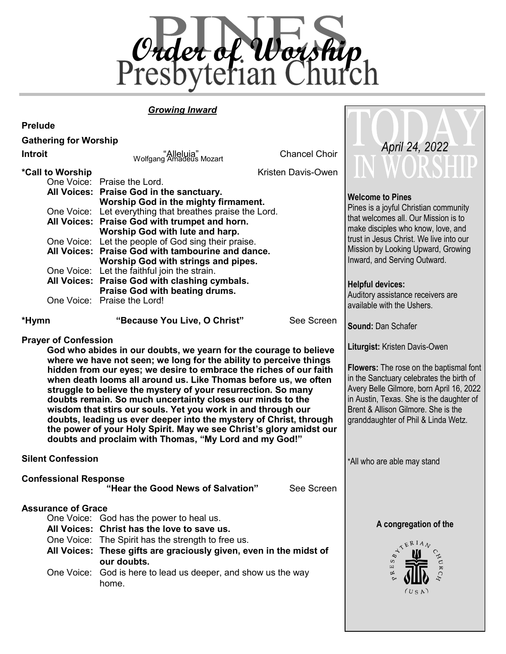

#### *Growing Inward*

#### **Prelude**

| <b>Gathering for Worship</b> |                                                                                                                                                                                                                                                                                                                                                                                                                                                                                                                                                                                                                                                                                        | April 24, 2022                                                                                                                                                                                                                                                                                    |                                                                                                                                                                                                                                                             |
|------------------------------|----------------------------------------------------------------------------------------------------------------------------------------------------------------------------------------------------------------------------------------------------------------------------------------------------------------------------------------------------------------------------------------------------------------------------------------------------------------------------------------------------------------------------------------------------------------------------------------------------------------------------------------------------------------------------------------|---------------------------------------------------------------------------------------------------------------------------------------------------------------------------------------------------------------------------------------------------------------------------------------------------|-------------------------------------------------------------------------------------------------------------------------------------------------------------------------------------------------------------------------------------------------------------|
| <b>Introit</b>               | <b>Chancel Choir</b><br>"Alleluia"<br>Wolfgang Amadeus Mozart                                                                                                                                                                                                                                                                                                                                                                                                                                                                                                                                                                                                                          |                                                                                                                                                                                                                                                                                                   |                                                                                                                                                                                                                                                             |
| *Call to Worship             | One Voice: Praise the Lord.<br>All Voices: Praise God in the sanctuary.<br>Worship God in the mighty firmament.<br>One Voice: Let everything that breathes praise the Lord.                                                                                                                                                                                                                                                                                                                                                                                                                                                                                                            | Kristen Davis-Owen                                                                                                                                                                                                                                                                                | <b>Welcome to Pines</b><br>Pines is a joyful Christian community                                                                                                                                                                                            |
|                              | All Voices: Praise God with trumpet and horn.<br>Worship God with lute and harp.<br>One Voice: Let the people of God sing their praise.<br>All Voices: Praise God with tambourine and dance.<br>Worship God with strings and pipes.<br>One Voice: Let the faithful join the strain.<br>All Voices: Praise God with clashing cymbals.<br>Praise God with beating drums.<br>One Voice: Praise the Lord!                                                                                                                                                                                                                                                                                  |                                                                                                                                                                                                                                                                                                   | that welcomes all. Our Mission is to<br>make disciples who know, love, and<br>trust in Jesus Christ. We live into our<br>Mission by Looking Upward, Growing<br>Inward, and Serving Outward.<br><b>Helpful devices:</b><br>Auditory assistance receivers are |
|                              |                                                                                                                                                                                                                                                                                                                                                                                                                                                                                                                                                                                                                                                                                        |                                                                                                                                                                                                                                                                                                   | available with the Ushers.                                                                                                                                                                                                                                  |
| *Hymn                        | "Because You Live, O Christ"                                                                                                                                                                                                                                                                                                                                                                                                                                                                                                                                                                                                                                                           | See Screen                                                                                                                                                                                                                                                                                        | <b>Sound: Dan Schafer</b>                                                                                                                                                                                                                                   |
| <b>Prayer of Confession</b>  | God who abides in our doubts, we yearn for the courage to believe<br>where we have not seen; we long for the ability to perceive things<br>hidden from our eyes; we desire to embrace the riches of our faith<br>when death looms all around us. Like Thomas before us, we often<br>struggle to believe the mystery of your resurrection. So many<br>doubts remain. So much uncertainty closes our minds to the<br>wisdom that stirs our souls. Yet you work in and through our<br>doubts, leading us ever deeper into the mystery of Christ, through<br>the power of your Holy Spirit. May we see Christ's glory amidst our<br>doubts and proclaim with Thomas, "My Lord and my God!" | Liturgist: Kristen Davis-Owen<br><b>Flowers:</b> The rose on the baptismal font<br>in the Sanctuary celebrates the birth of<br>Avery Belle Gilmore, born April 16, 2022<br>in Austin, Texas. She is the daughter of<br>Brent & Allison Gilmore. She is the<br>granddaughter of Phil & Linda Wetz. |                                                                                                                                                                                                                                                             |
| <b>Silent Confession</b>     |                                                                                                                                                                                                                                                                                                                                                                                                                                                                                                                                                                                                                                                                                        | *All who are able may stand                                                                                                                                                                                                                                                                       |                                                                                                                                                                                                                                                             |
| <b>Confessional Response</b> | "Hear the Good News of Salvation"                                                                                                                                                                                                                                                                                                                                                                                                                                                                                                                                                                                                                                                      |                                                                                                                                                                                                                                                                                                   |                                                                                                                                                                                                                                                             |
| <b>Assurance of Grace</b>    | One Voice: God has the power to heal us.<br>All Voices: Christ has the love to save us.<br>One Voice: The Spirit has the strength to free us.<br>All Voices: These gifts are graciously given, even in the midst of<br>our doubts.<br>One Voice: God is here to lead us deeper, and show us the way<br>home.                                                                                                                                                                                                                                                                                                                                                                           |                                                                                                                                                                                                                                                                                                   | A congregation of the<br>YTERIAN<br>ధ<br>S<br>$\overline{u}$<br>ø<br>(USA)                                                                                                                                                                                  |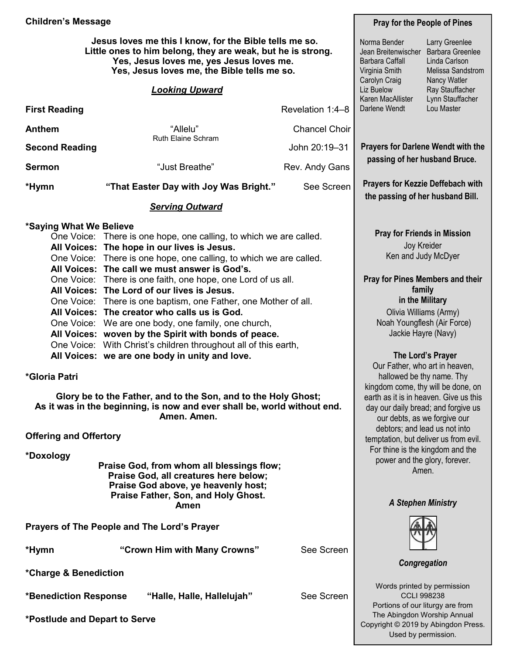| <b>Children's Message</b>                                                                                                                                                                                                                                                                                                                                                                                                                                                                                                                                                                                                                                                                                                                                                                                                                                                                                                                                                                           | <b>Pray for the People of Pines</b>                                                                                                                                                                                                                                                                                                                                                                                                                                                                                                                                                                          |                                                                                                                    |                                           |                                |  |
|-----------------------------------------------------------------------------------------------------------------------------------------------------------------------------------------------------------------------------------------------------------------------------------------------------------------------------------------------------------------------------------------------------------------------------------------------------------------------------------------------------------------------------------------------------------------------------------------------------------------------------------------------------------------------------------------------------------------------------------------------------------------------------------------------------------------------------------------------------------------------------------------------------------------------------------------------------------------------------------------------------|--------------------------------------------------------------------------------------------------------------------------------------------------------------------------------------------------------------------------------------------------------------------------------------------------------------------------------------------------------------------------------------------------------------------------------------------------------------------------------------------------------------------------------------------------------------------------------------------------------------|--------------------------------------------------------------------------------------------------------------------|-------------------------------------------|--------------------------------|--|
| Jesus loves me this I know, for the Bible tells me so.<br>Little ones to him belong, they are weak, but he is strong.                                                                                                                                                                                                                                                                                                                                                                                                                                                                                                                                                                                                                                                                                                                                                                                                                                                                               | Norma Bender<br>Jean Breitenwischer<br>Barbara Caffall<br>Virginia Smith<br>Carolyn Craig<br>Liz Buelow                                                                                                                                                                                                                                                                                                                                                                                                                                                                                                      | Larry Greenlee<br><b>Barbara Greenlee</b><br>Linda Carlson<br>Melissa Sandstrom<br>Nancy Watler<br>Ray Stauffacher |                                           |                                |  |
| <b>First Reading</b>                                                                                                                                                                                                                                                                                                                                                                                                                                                                                                                                                                                                                                                                                                                                                                                                                                                                                                                                                                                |                                                                                                                                                                                                                                                                                                                                                                                                                                                                                                                                                                                                              | Revelation 1:4-8                                                                                                   | Karen MacAllister<br>Darlene Wendt        | Lynn Stauffacher<br>Lou Master |  |
| <b>Anthem</b>                                                                                                                                                                                                                                                                                                                                                                                                                                                                                                                                                                                                                                                                                                                                                                                                                                                                                                                                                                                       | "Allelu"                                                                                                                                                                                                                                                                                                                                                                                                                                                                                                                                                                                                     | <b>Chancel Choir</b>                                                                                               |                                           |                                |  |
| <b>Second Reading</b>                                                                                                                                                                                                                                                                                                                                                                                                                                                                                                                                                                                                                                                                                                                                                                                                                                                                                                                                                                               | <b>Ruth Elaine Schram</b>                                                                                                                                                                                                                                                                                                                                                                                                                                                                                                                                                                                    | John 20:19-31                                                                                                      | <b>Prayers for Darlene Wendt with the</b> |                                |  |
| <b>Sermon</b>                                                                                                                                                                                                                                                                                                                                                                                                                                                                                                                                                                                                                                                                                                                                                                                                                                                                                                                                                                                       | "Just Breathe"                                                                                                                                                                                                                                                                                                                                                                                                                                                                                                                                                                                               | Rev. Andy Gans                                                                                                     | passing of her husband Bruce.             |                                |  |
| *Hymn                                                                                                                                                                                                                                                                                                                                                                                                                                                                                                                                                                                                                                                                                                                                                                                                                                                                                                                                                                                               | "That Easter Day with Joy Was Bright."                                                                                                                                                                                                                                                                                                                                                                                                                                                                                                                                                                       | See Screen                                                                                                         | <b>Prayers for Kezzie Deffebach with</b>  |                                |  |
|                                                                                                                                                                                                                                                                                                                                                                                                                                                                                                                                                                                                                                                                                                                                                                                                                                                                                                                                                                                                     | <b>Serving Outward</b>                                                                                                                                                                                                                                                                                                                                                                                                                                                                                                                                                                                       |                                                                                                                    | the passing of her husband Bill.          |                                |  |
| *Saying What We Believe<br>One Voice: There is one hope, one calling, to which we are called.<br>All Voices: The hope in our lives is Jesus.<br>One Voice: There is one hope, one calling, to which we are called.<br>All Voices: The call we must answer is God's.<br>One Voice: There is one faith, one hope, one Lord of us all.<br>All Voices: The Lord of our lives is Jesus.<br>One Voice: There is one baptism, one Father, one Mother of all.<br>All Voices: The creator who calls us is God.<br>One Voice: We are one body, one family, one church,<br>All Voices: woven by the Spirit with bonds of peace.<br>One Voice: With Christ's children throughout all of this earth,<br>All Voices: we are one body in unity and love.<br>*Gloria Patri<br>Glory be to the Father, and to the Son, and to the Holy Ghost;<br>As it was in the beginning, is now and ever shall be, world without end.<br><b>Offering and Offertory</b><br>*Doxology<br>Praise God, from whom all blessings flow; | <b>Pray for Friends in Mission</b><br>Joy Kreider<br>Ken and Judy McDyer<br><b>Pray for Pines Members and their</b><br>family<br>in the Military<br>Olivia Williams (Army)<br>Jackie Hayre (Navy)<br>Our Father, who art in heaven,<br>hallowed be thy name. Thy<br>kingdom come, thy will be done, on<br>earth as it is in heaven. Give us this<br>day our daily bread; and forgive us<br>our debts, as we forgive our<br>debtors; and lead us not into<br>temptation, but deliver us from evil.<br>For thine is the kingdom and the<br>power and the glory, forever.<br>Amen.<br><b>A Stephen Ministry</b> | Noah Youngflesh (Air Force)<br>The Lord's Prayer                                                                   |                                           |                                |  |
| Prayers of The People and The Lord's Prayer                                                                                                                                                                                                                                                                                                                                                                                                                                                                                                                                                                                                                                                                                                                                                                                                                                                                                                                                                         |                                                                                                                                                                                                                                                                                                                                                                                                                                                                                                                                                                                                              |                                                                                                                    |                                           |                                |  |
| *Hymn                                                                                                                                                                                                                                                                                                                                                                                                                                                                                                                                                                                                                                                                                                                                                                                                                                                                                                                                                                                               | "Crown Him with Many Crowns"                                                                                                                                                                                                                                                                                                                                                                                                                                                                                                                                                                                 | See Screen                                                                                                         |                                           |                                |  |
| *Charge & Benediction                                                                                                                                                                                                                                                                                                                                                                                                                                                                                                                                                                                                                                                                                                                                                                                                                                                                                                                                                                               | Congregation                                                                                                                                                                                                                                                                                                                                                                                                                                                                                                                                                                                                 |                                                                                                                    |                                           |                                |  |
| *Benediction Response                                                                                                                                                                                                                                                                                                                                                                                                                                                                                                                                                                                                                                                                                                                                                                                                                                                                                                                                                                               | "Halle, Halle, Hallelujah"                                                                                                                                                                                                                                                                                                                                                                                                                                                                                                                                                                                   | Words printed by permission<br><b>CCLI 998238</b><br>Portions of our liturgy are from                              |                                           |                                |  |
| *Postlude and Depart to Serve                                                                                                                                                                                                                                                                                                                                                                                                                                                                                                                                                                                                                                                                                                                                                                                                                                                                                                                                                                       | The Abingdon Worship Annual<br>Copyright © 2019 by Abingdon Press.<br>Used by permission.                                                                                                                                                                                                                                                                                                                                                                                                                                                                                                                    |                                                                                                                    |                                           |                                |  |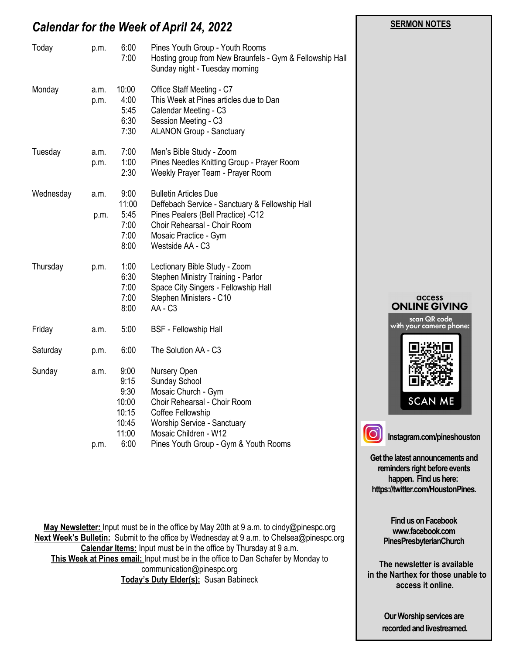# *Calendar for the Week of April 24, 2022*

| Today     | p.m.         | 6:00<br>7:00                                                     | Pines Youth Group - Youth Rooms<br>Hosting group from New Braunfels - Gym & Fellowship Hall<br>Sunday night - Tuesday morning                                                                              |                                                                   |  |
|-----------|--------------|------------------------------------------------------------------|------------------------------------------------------------------------------------------------------------------------------------------------------------------------------------------------------------|-------------------------------------------------------------------|--|
| Monday    | a.m.<br>p.m. | 10:00<br>4:00<br>5:45<br>6:30<br>7:30                            | Office Staff Meeting - C7<br>This Week at Pines articles due to Dan<br>Calendar Meeting - C3<br>Session Meeting - C3<br><b>ALANON Group - Sanctuary</b>                                                    |                                                                   |  |
| Tuesday   | a.m.<br>p.m. | 7:00<br>1:00<br>2:30                                             | Men's Bible Study - Zoom<br>Pines Needles Knitting Group - Prayer Room<br>Weekly Prayer Team - Prayer Room                                                                                                 |                                                                   |  |
| Wednesday | a.m.<br>p.m. | 9:00<br>11:00<br>5:45<br>7:00<br>7:00<br>8:00                    | <b>Bulletin Articles Due</b><br>Deffebach Service - Sanctuary & Fellowship Hall<br>Pines Pealers (Bell Practice) -C12<br>Choir Rehearsal - Choir Room<br>Mosaic Practice - Gym<br>Westside AA - C3         | access<br><b>ONLINE GIVING</b><br>scan QR code                    |  |
| Thursday  | p.m.         | 1:00<br>6:30<br>7:00<br>7:00<br>8:00                             | Lectionary Bible Study - Zoom<br>Stephen Ministry Training - Parlor<br>Space City Singers - Fellowship Hall<br>Stephen Ministers - C10<br><b>AA - C3</b>                                                   |                                                                   |  |
| Friday    | a.m.         | 5:00                                                             | <b>BSF</b> - Fellowship Hall                                                                                                                                                                               | with your camera phone:                                           |  |
| Saturday  | p.m.         | 6:00                                                             | The Solution AA - C3                                                                                                                                                                                       |                                                                   |  |
| Sunday    | a.m.         | 9:00<br>9:15<br>9:30<br>10:00<br>10:15<br>10:45<br>11:00<br>6:00 | Nursery Open<br>Sunday School<br>Mosaic Church - Gym<br>Choir Rehearsal - Choir Room<br>Coffee Fellowship<br>Worship Service - Sanctuary<br>Mosaic Children - W12<br>Pines Youth Group - Gym & Youth Rooms | <b>SCAN ME</b><br>Instagram.com/pineshouston                      |  |
|           | p.m.         |                                                                  |                                                                                                                                                                                                            | Get the latest announcements and<br>reminders right before events |  |

**May Newsletter:** Input must be in the office by May 20th at 9 a.m. to cindy@pinespc.org **Next Week's Bulletin:** Submit to the office by Wednesday at 9 a.m. to Chelsea@pinespc.org **Calendar Items:** Input must be in the office by Thursday at 9 a.m. **This Week at Pines email:** Input must be in the office to Dan Schafer by Monday to communication@pinespc.org **Today's Duty Elder(s):** Susan Babineck

**Find us on Facebook www.facebook.com PinesPresbyterianChurch**

**happen. Find us here: https://twitter.com/HoustonPines.** 

 **SERMON NOTES** 

 **The newsletter is available in the Narthex for those unable to access it online.**

> **Our Worship services are recorded and livestreamed.**